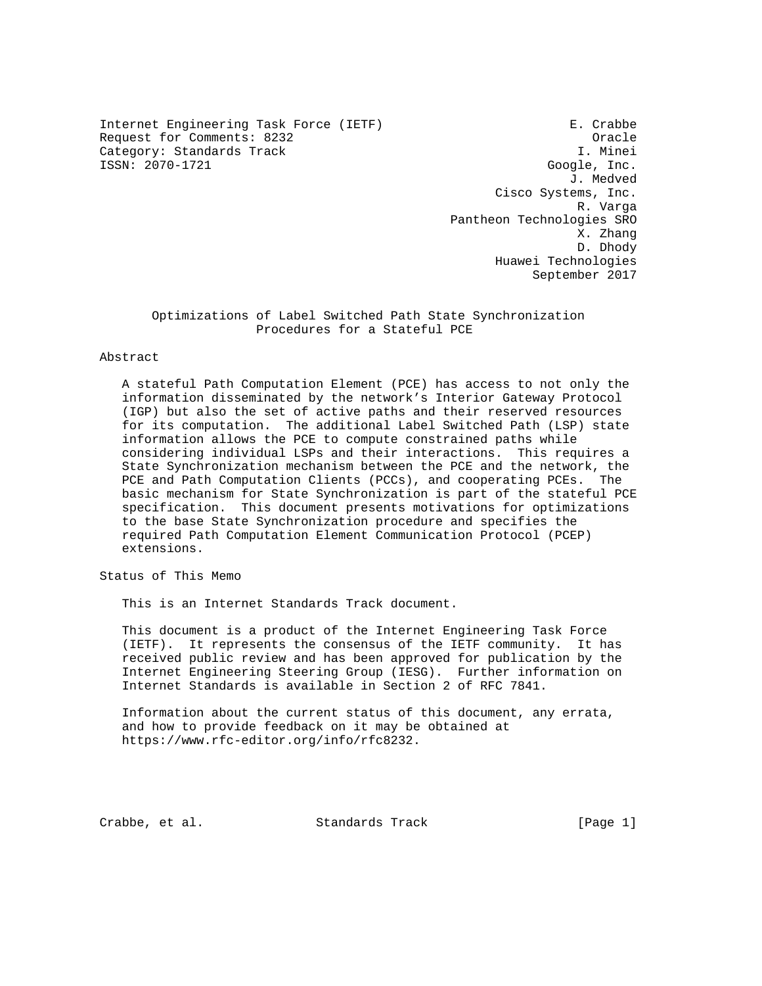Internet Engineering Task Force (IETF) E. Crabbe Request for Comments: 8232<br>Category: Standards Track Category: Standards Track Category: Standards Track ISSN: 2070-1721 Google, Inc.

 J. Medved Cisco Systems, Inc. R. Varga Pantheon Technologies SRO X. Zhang D. Dhody Huawei Technologies September 2017

 Optimizations of Label Switched Path State Synchronization Procedures for a Stateful PCE

## Abstract

 A stateful Path Computation Element (PCE) has access to not only the information disseminated by the network's Interior Gateway Protocol (IGP) but also the set of active paths and their reserved resources for its computation. The additional Label Switched Path (LSP) state information allows the PCE to compute constrained paths while considering individual LSPs and their interactions. This requires a State Synchronization mechanism between the PCE and the network, the PCE and Path Computation Clients (PCCs), and cooperating PCEs. The basic mechanism for State Synchronization is part of the stateful PCE specification. This document presents motivations for optimizations to the base State Synchronization procedure and specifies the required Path Computation Element Communication Protocol (PCEP) extensions.

Status of This Memo

This is an Internet Standards Track document.

 This document is a product of the Internet Engineering Task Force (IETF). It represents the consensus of the IETF community. It has received public review and has been approved for publication by the Internet Engineering Steering Group (IESG). Further information on Internet Standards is available in Section 2 of RFC 7841.

 Information about the current status of this document, any errata, and how to provide feedback on it may be obtained at https://www.rfc-editor.org/info/rfc8232.

Crabbe, et al. Standards Track [Page 1]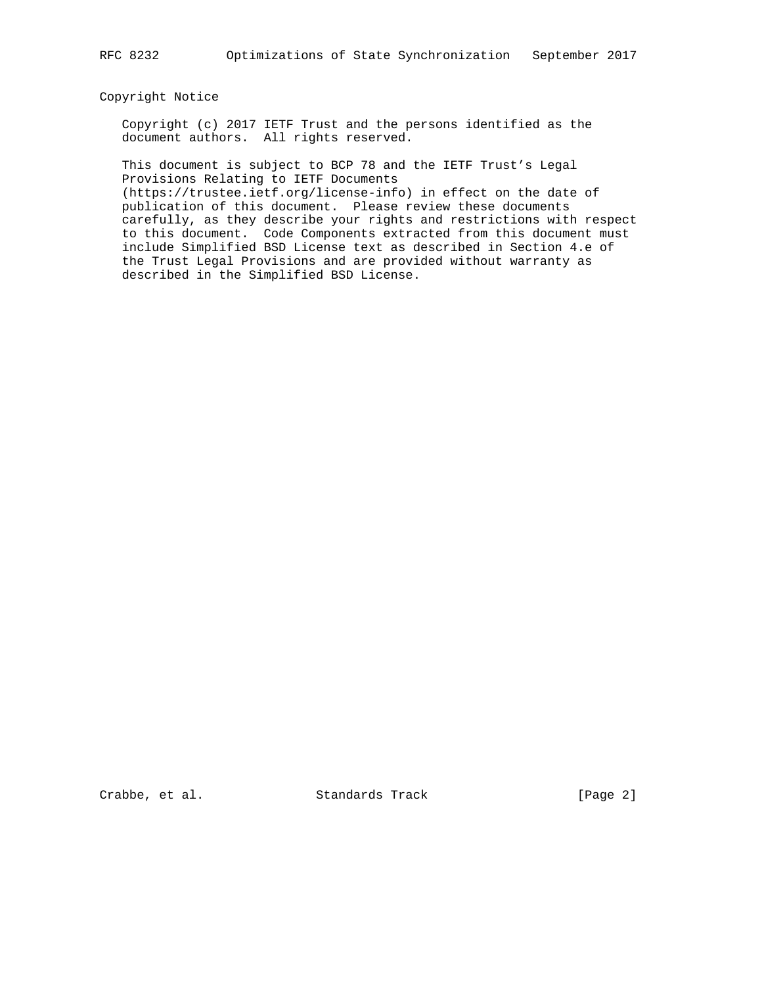#### Copyright Notice

 Copyright (c) 2017 IETF Trust and the persons identified as the document authors. All rights reserved.

 This document is subject to BCP 78 and the IETF Trust's Legal Provisions Relating to IETF Documents

 (https://trustee.ietf.org/license-info) in effect on the date of publication of this document. Please review these documents carefully, as they describe your rights and restrictions with respect to this document. Code Components extracted from this document must include Simplified BSD License text as described in Section 4.e of the Trust Legal Provisions and are provided without warranty as described in the Simplified BSD License.

Crabbe, et al. Standards Track [Page 2]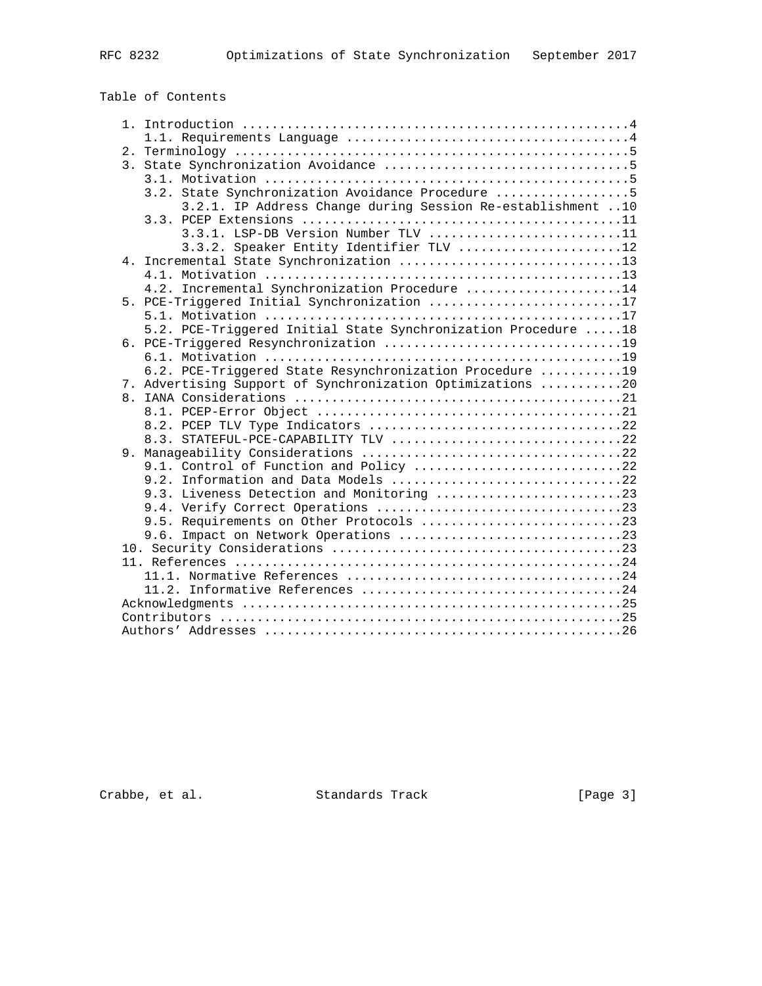# Table of Contents

|  | 3.2. State Synchronization Avoidance Procedure 5              |
|--|---------------------------------------------------------------|
|  | 3.2.1. IP Address Change during Session Re-establishment 10   |
|  |                                                               |
|  | $3.3.1.$ LSP-DB Version Number TLV 11                         |
|  | 3.3.2. Speaker Entity Identifier TLV 12                       |
|  | 4. Incremental State Synchronization 13                       |
|  |                                                               |
|  | 4.2. Incremental Synchronization Procedure 14                 |
|  | 5. PCE-Triggered Initial Synchronization 17                   |
|  |                                                               |
|  | 5.2. PCE-Triggered Initial State Synchronization Procedure 18 |
|  |                                                               |
|  |                                                               |
|  | 6.2. PCE-Triggered State Resynchronization Procedure 19       |
|  | 7. Advertising Support of Synchronization Optimizations 20    |
|  |                                                               |
|  |                                                               |
|  |                                                               |
|  | 8.3. STATEFUL-PCE-CAPABILITY TLV 22                           |
|  |                                                               |
|  | 9.1. Control of Function and Policy 22                        |
|  | 9.2. Information and Data Models 22                           |
|  | 9.3. Liveness Detection and Monitoring 23                     |
|  |                                                               |
|  | 9.5. Requirements on Other Protocols 23                       |
|  |                                                               |
|  |                                                               |
|  |                                                               |
|  |                                                               |
|  |                                                               |
|  |                                                               |
|  |                                                               |
|  |                                                               |

Crabbe, et al. Standards Track [Page 3]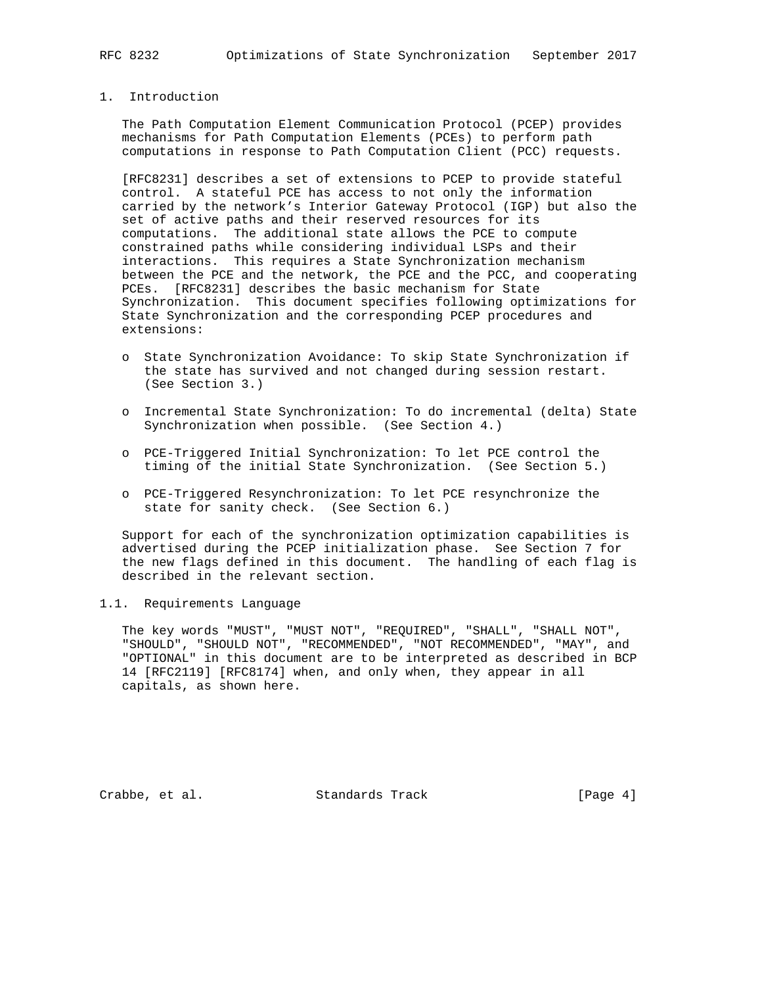## 1. Introduction

 The Path Computation Element Communication Protocol (PCEP) provides mechanisms for Path Computation Elements (PCEs) to perform path computations in response to Path Computation Client (PCC) requests.

 [RFC8231] describes a set of extensions to PCEP to provide stateful control. A stateful PCE has access to not only the information carried by the network's Interior Gateway Protocol (IGP) but also the set of active paths and their reserved resources for its computations. The additional state allows the PCE to compute constrained paths while considering individual LSPs and their interactions. This requires a State Synchronization mechanism between the PCE and the network, the PCE and the PCC, and cooperating PCEs. [RFC8231] describes the basic mechanism for State Synchronization. This document specifies following optimizations for State Synchronization and the corresponding PCEP procedures and extensions:

- o State Synchronization Avoidance: To skip State Synchronization if the state has survived and not changed during session restart. (See Section 3.)
- o Incremental State Synchronization: To do incremental (delta) State Synchronization when possible. (See Section 4.)
- o PCE-Triggered Initial Synchronization: To let PCE control the timing of the initial State Synchronization. (See Section 5.)
- o PCE-Triggered Resynchronization: To let PCE resynchronize the state for sanity check. (See Section 6.)

 Support for each of the synchronization optimization capabilities is advertised during the PCEP initialization phase. See Section 7 for the new flags defined in this document. The handling of each flag is described in the relevant section.

### 1.1. Requirements Language

 The key words "MUST", "MUST NOT", "REQUIRED", "SHALL", "SHALL NOT", "SHOULD", "SHOULD NOT", "RECOMMENDED", "NOT RECOMMENDED", "MAY", and "OPTIONAL" in this document are to be interpreted as described in BCP 14 [RFC2119] [RFC8174] when, and only when, they appear in all capitals, as shown here.

Crabbe, et al. Standards Track [Page 4]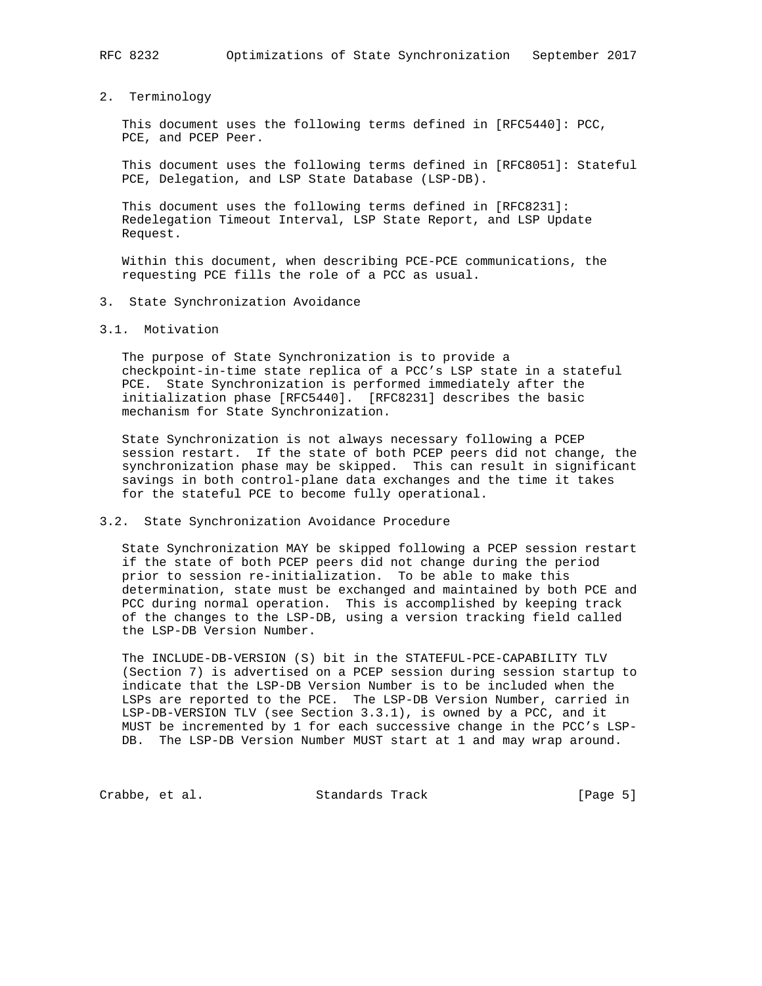2. Terminology

 This document uses the following terms defined in [RFC5440]: PCC, PCE, and PCEP Peer.

 This document uses the following terms defined in [RFC8051]: Stateful PCE, Delegation, and LSP State Database (LSP-DB).

 This document uses the following terms defined in [RFC8231]: Redelegation Timeout Interval, LSP State Report, and LSP Update Request.

 Within this document, when describing PCE-PCE communications, the requesting PCE fills the role of a PCC as usual.

### 3. State Synchronization Avoidance

3.1. Motivation

 The purpose of State Synchronization is to provide a checkpoint-in-time state replica of a PCC's LSP state in a stateful PCE. State Synchronization is performed immediately after the initialization phase [RFC5440]. [RFC8231] describes the basic mechanism for State Synchronization.

 State Synchronization is not always necessary following a PCEP session restart. If the state of both PCEP peers did not change, the synchronization phase may be skipped. This can result in significant savings in both control-plane data exchanges and the time it takes for the stateful PCE to become fully operational.

### 3.2. State Synchronization Avoidance Procedure

 State Synchronization MAY be skipped following a PCEP session restart if the state of both PCEP peers did not change during the period prior to session re-initialization. To be able to make this determination, state must be exchanged and maintained by both PCE and PCC during normal operation. This is accomplished by keeping track of the changes to the LSP-DB, using a version tracking field called the LSP-DB Version Number.

 The INCLUDE-DB-VERSION (S) bit in the STATEFUL-PCE-CAPABILITY TLV (Section 7) is advertised on a PCEP session during session startup to indicate that the LSP-DB Version Number is to be included when the LSPs are reported to the PCE. The LSP-DB Version Number, carried in LSP-DB-VERSION TLV (see Section 3.3.1), is owned by a PCC, and it MUST be incremented by 1 for each successive change in the PCC's LSP- DB. The LSP-DB Version Number MUST start at 1 and may wrap around.

Crabbe, et al. Standards Track [Page 5]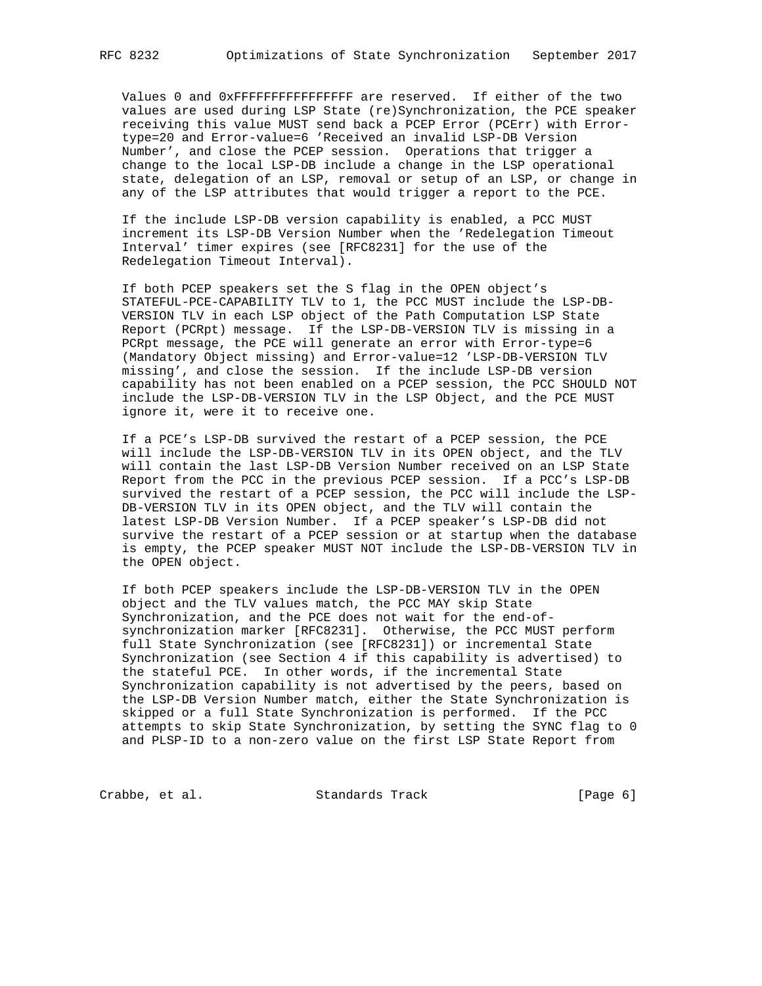Values 0 and 0xFFFFFFFFFFFFFFFF are reserved. If either of the two values are used during LSP State (re)Synchronization, the PCE speaker receiving this value MUST send back a PCEP Error (PCErr) with Error type=20 and Error-value=6 'Received an invalid LSP-DB Version Number', and close the PCEP session. Operations that trigger a change to the local LSP-DB include a change in the LSP operational state, delegation of an LSP, removal or setup of an LSP, or change in any of the LSP attributes that would trigger a report to the PCE.

 If the include LSP-DB version capability is enabled, a PCC MUST increment its LSP-DB Version Number when the 'Redelegation Timeout Interval' timer expires (see [RFC8231] for the use of the Redelegation Timeout Interval).

 If both PCEP speakers set the S flag in the OPEN object's STATEFUL-PCE-CAPABILITY TLV to 1, the PCC MUST include the LSP-DB- VERSION TLV in each LSP object of the Path Computation LSP State Report (PCRpt) message. If the LSP-DB-VERSION TLV is missing in a PCRpt message, the PCE will generate an error with Error-type=6 (Mandatory Object missing) and Error-value=12 'LSP-DB-VERSION TLV missing', and close the session. If the include LSP-DB version capability has not been enabled on a PCEP session, the PCC SHOULD NOT include the LSP-DB-VERSION TLV in the LSP Object, and the PCE MUST ignore it, were it to receive one.

 If a PCE's LSP-DB survived the restart of a PCEP session, the PCE will include the LSP-DB-VERSION TLV in its OPEN object, and the TLV will contain the last LSP-DB Version Number received on an LSP State Report from the PCC in the previous PCEP session. If a PCC's LSP-DB survived the restart of a PCEP session, the PCC will include the LSP- DB-VERSION TLV in its OPEN object, and the TLV will contain the latest LSP-DB Version Number. If a PCEP speaker's LSP-DB did not survive the restart of a PCEP session or at startup when the database is empty, the PCEP speaker MUST NOT include the LSP-DB-VERSION TLV in the OPEN object.

 If both PCEP speakers include the LSP-DB-VERSION TLV in the OPEN object and the TLV values match, the PCC MAY skip State Synchronization, and the PCE does not wait for the end-of synchronization marker [RFC8231]. Otherwise, the PCC MUST perform full State Synchronization (see [RFC8231]) or incremental State Synchronization (see Section 4 if this capability is advertised) to the stateful PCE. In other words, if the incremental State Synchronization capability is not advertised by the peers, based on the LSP-DB Version Number match, either the State Synchronization is skipped or a full State Synchronization is performed. If the PCC attempts to skip State Synchronization, by setting the SYNC flag to 0 and PLSP-ID to a non-zero value on the first LSP State Report from

Crabbe, et al. Standards Track [Page 6]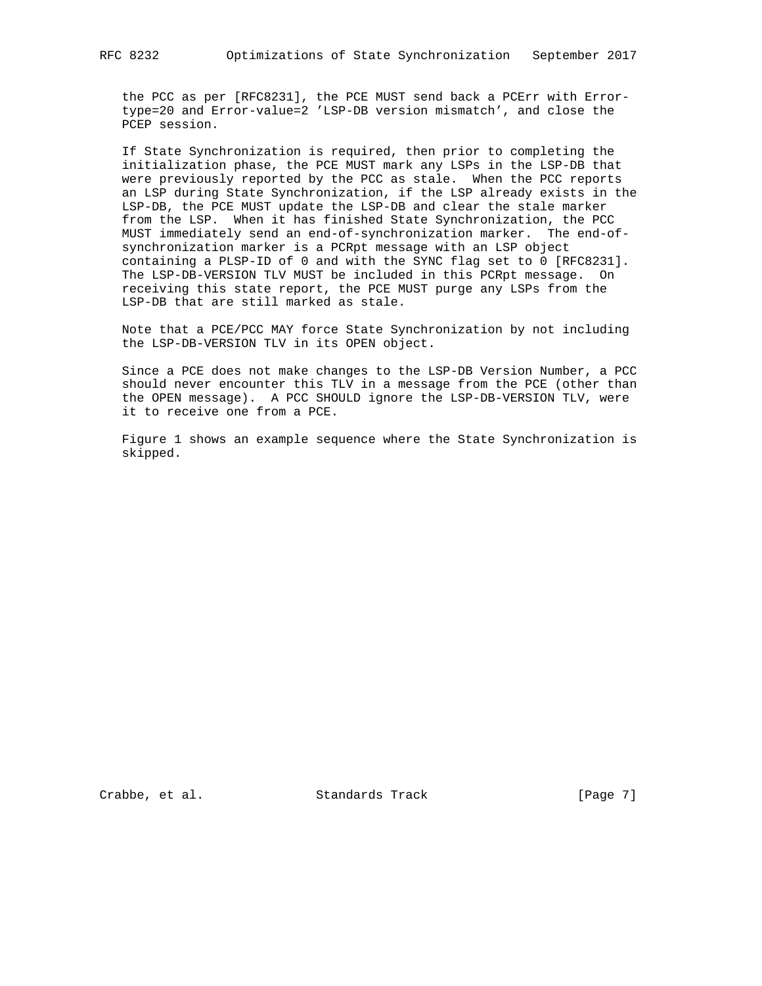the PCC as per [RFC8231], the PCE MUST send back a PCErr with Error type=20 and Error-value=2 'LSP-DB version mismatch', and close the PCEP session.

 If State Synchronization is required, then prior to completing the initialization phase, the PCE MUST mark any LSPs in the LSP-DB that were previously reported by the PCC as stale. When the PCC reports an LSP during State Synchronization, if the LSP already exists in the LSP-DB, the PCE MUST update the LSP-DB and clear the stale marker from the LSP. When it has finished State Synchronization, the PCC MUST immediately send an end-of-synchronization marker. The end-of synchronization marker is a PCRpt message with an LSP object containing a PLSP-ID of 0 and with the SYNC flag set to 0 [RFC8231]. The LSP-DB-VERSION TLV MUST be included in this PCRpt message. On receiving this state report, the PCE MUST purge any LSPs from the LSP-DB that are still marked as stale.

 Note that a PCE/PCC MAY force State Synchronization by not including the LSP-DB-VERSION TLV in its OPEN object.

 Since a PCE does not make changes to the LSP-DB Version Number, a PCC should never encounter this TLV in a message from the PCE (other than the OPEN message). A PCC SHOULD ignore the LSP-DB-VERSION TLV, were it to receive one from a PCE.

 Figure 1 shows an example sequence where the State Synchronization is skipped.

Crabbe, et al. Standards Track [Page 7]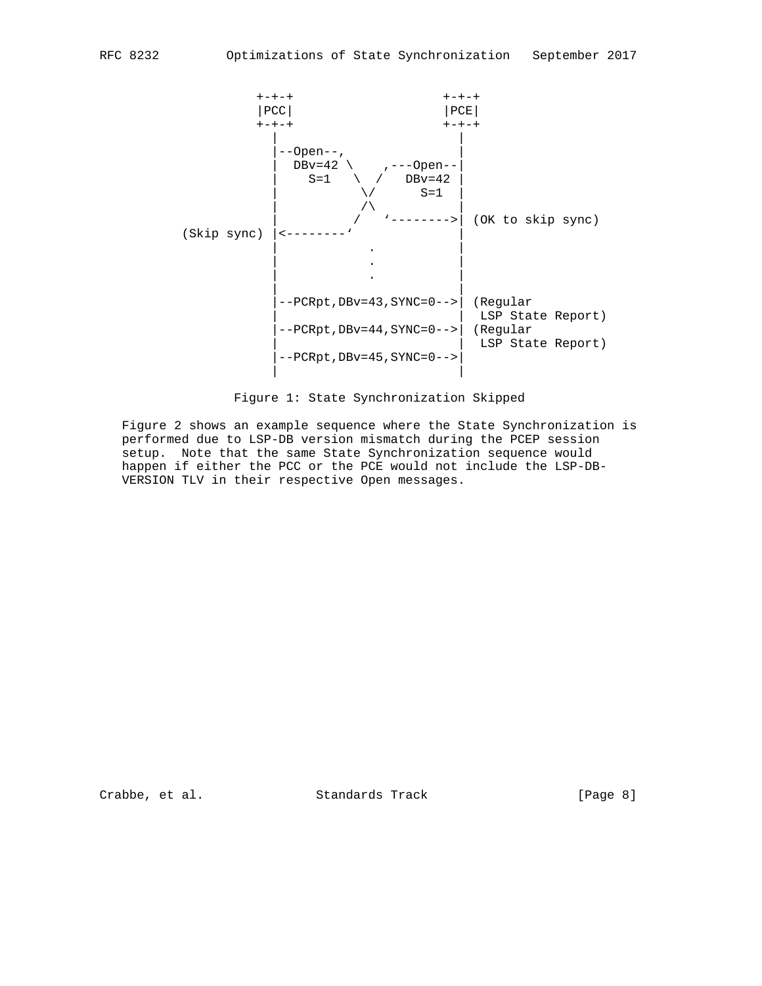



 Figure 2 shows an example sequence where the State Synchronization is performed due to LSP-DB version mismatch during the PCEP session setup. Note that the same State Synchronization sequence would happen if either the PCC or the PCE would not include the LSP-DB- VERSION TLV in their respective Open messages.

Crabbe, et al. Standards Track [Page 8]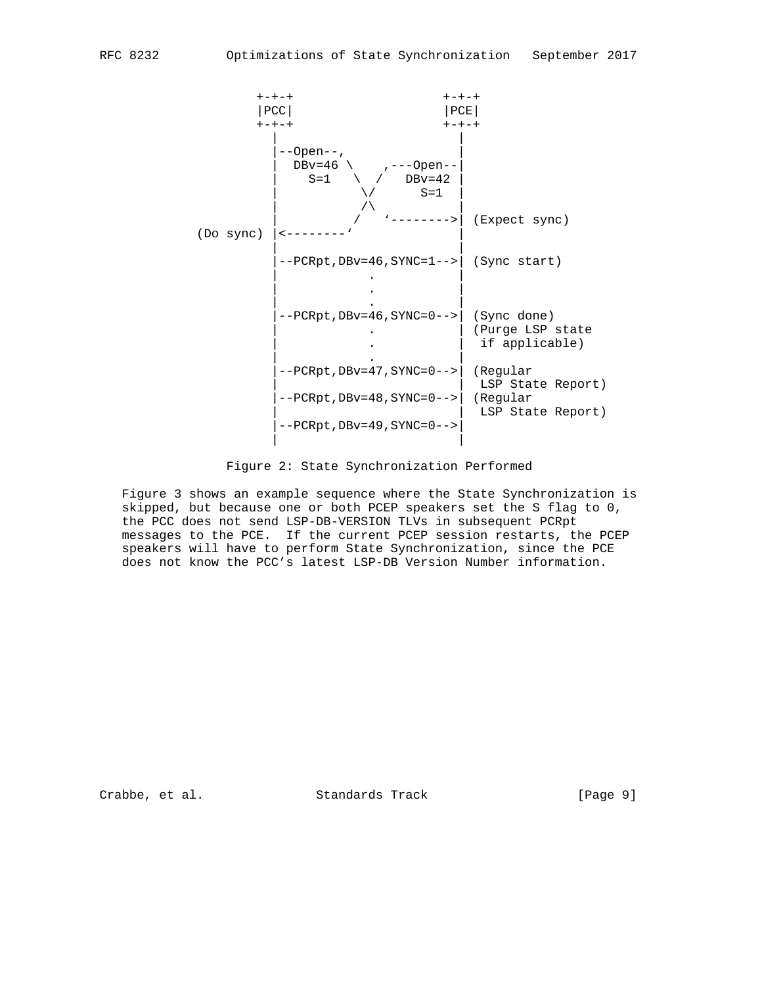

Figure 2: State Synchronization Performed

 Figure 3 shows an example sequence where the State Synchronization is skipped, but because one or both PCEP speakers set the S flag to 0, the PCC does not send LSP-DB-VERSION TLVs in subsequent PCRpt messages to the PCE. If the current PCEP session restarts, the PCEP speakers will have to perform State Synchronization, since the PCE does not know the PCC's latest LSP-DB Version Number information.

Crabbe, et al. Standards Track [Page 9]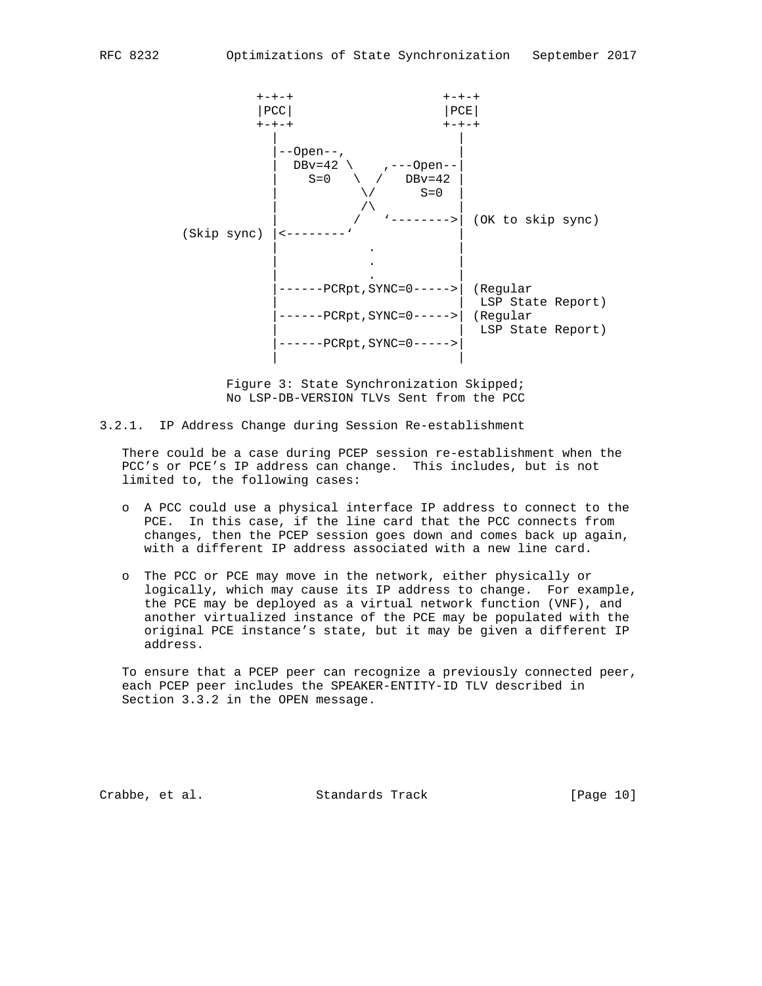

 Figure 3: State Synchronization Skipped; No LSP-DB-VERSION TLVs Sent from the PCC

3.2.1. IP Address Change during Session Re-establishment

 There could be a case during PCEP session re-establishment when the PCC's or PCE's IP address can change. This includes, but is not limited to, the following cases:

- o A PCC could use a physical interface IP address to connect to the PCE. In this case, if the line card that the PCC connects from changes, then the PCEP session goes down and comes back up again, with a different IP address associated with a new line card.
- o The PCC or PCE may move in the network, either physically or logically, which may cause its IP address to change. For example, the PCE may be deployed as a virtual network function (VNF), and another virtualized instance of the PCE may be populated with the original PCE instance's state, but it may be given a different IP address.

 To ensure that a PCEP peer can recognize a previously connected peer, each PCEP peer includes the SPEAKER-ENTITY-ID TLV described in Section 3.3.2 in the OPEN message.

Crabbe, et al. Standards Track [Page 10]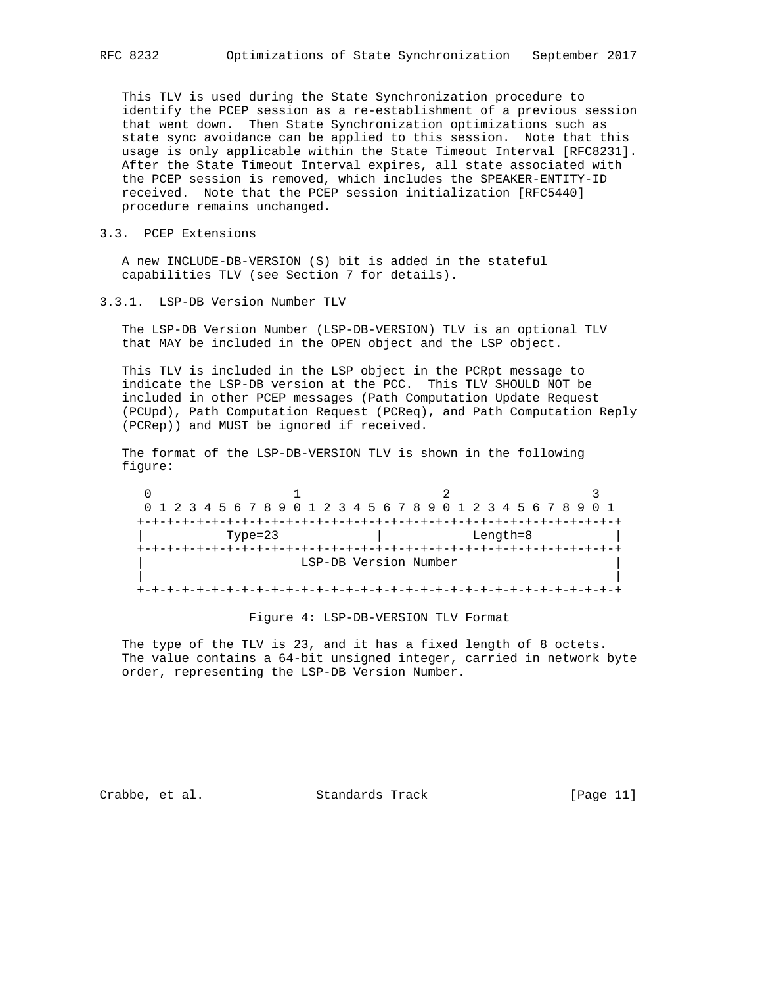This TLV is used during the State Synchronization procedure to identify the PCEP session as a re-establishment of a previous session that went down. Then State Synchronization optimizations such as state sync avoidance can be applied to this session. Note that this usage is only applicable within the State Timeout Interval [RFC8231]. After the State Timeout Interval expires, all state associated with the PCEP session is removed, which includes the SPEAKER-ENTITY-ID received. Note that the PCEP session initialization [RFC5440] procedure remains unchanged.

3.3. PCEP Extensions

 A new INCLUDE-DB-VERSION (S) bit is added in the stateful capabilities TLV (see Section 7 for details).

3.3.1. LSP-DB Version Number TLV

 The LSP-DB Version Number (LSP-DB-VERSION) TLV is an optional TLV that MAY be included in the OPEN object and the LSP object.

 This TLV is included in the LSP object in the PCRpt message to indicate the LSP-DB version at the PCC. This TLV SHOULD NOT be included in other PCEP messages (Path Computation Update Request (PCUpd), Path Computation Request (PCReq), and Path Computation Reply (PCRep)) and MUST be ignored if received.

 The format of the LSP-DB-VERSION TLV is shown in the following figure:

 $0$  and  $1$  and  $2$  3 0 1 2 3 4 5 6 7 8 9 0 1 2 3 4 5 6 7 8 9 0 1 2 3 4 5 6 7 8 9 0 1 +-+-+-+-+-+-+-+-+-+-+-+-+-+-+-+-+-+-+-+-+-+-+-+-+-+-+-+-+-+-+-+-+ | Type=23 | Length=8 | +-+-+-+-+-+-+-+-+-+-+-+-+-+-+-+-+-+-+-+-+-+-+-+-+-+-+-+-+-+-+-+-+ LSP-DB Version Number | | +-+-+-+-+-+-+-+-+-+-+-+-+-+-+-+-+-+-+-+-+-+-+-+-+-+-+-+-+-+-+-+-+

Figure 4: LSP-DB-VERSION TLV Format

The type of the TLV is 23, and it has a fixed length of 8 octets. The value contains a 64-bit unsigned integer, carried in network byte order, representing the LSP-DB Version Number.

Crabbe, et al. Standards Track [Page 11]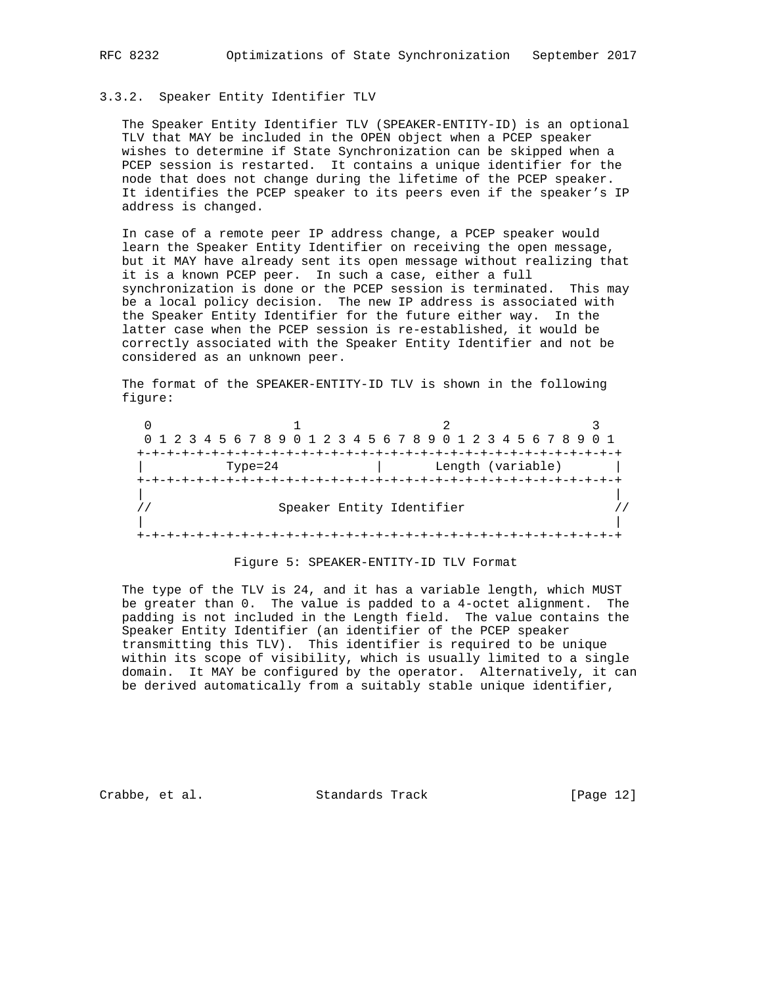## 3.3.2. Speaker Entity Identifier TLV

 The Speaker Entity Identifier TLV (SPEAKER-ENTITY-ID) is an optional TLV that MAY be included in the OPEN object when a PCEP speaker wishes to determine if State Synchronization can be skipped when a PCEP session is restarted. It contains a unique identifier for the node that does not change during the lifetime of the PCEP speaker. It identifies the PCEP speaker to its peers even if the speaker's IP address is changed.

 In case of a remote peer IP address change, a PCEP speaker would learn the Speaker Entity Identifier on receiving the open message, but it MAY have already sent its open message without realizing that it is a known PCEP peer. In such a case, either a full synchronization is done or the PCEP session is terminated. This may be a local policy decision. The new IP address is associated with the Speaker Entity Identifier for the future either way. In the latter case when the PCEP session is re-established, it would be correctly associated with the Speaker Entity Identifier and not be considered as an unknown peer.

 The format of the SPEAKER-ENTITY-ID TLV is shown in the following figure:

|             | 0 1 2 3 4 5 6 7 8 9 0 1 2 3 4 5 6 7 8 9 0 1 2 3 4 5 6 7 8 9 0 1 |  |
|-------------|-----------------------------------------------------------------|--|
|             |                                                                 |  |
| $Type = 24$ | Length (variable)                                               |  |
|             |                                                                 |  |
|             |                                                                 |  |
|             | Speaker Entity Identifier                                       |  |
|             |                                                                 |  |
|             |                                                                 |  |

#### Figure 5: SPEAKER-ENTITY-ID TLV Format

 The type of the TLV is 24, and it has a variable length, which MUST be greater than 0. The value is padded to a 4-octet alignment. The padding is not included in the Length field. The value contains the Speaker Entity Identifier (an identifier of the PCEP speaker transmitting this TLV). This identifier is required to be unique within its scope of visibility, which is usually limited to a single domain. It MAY be configured by the operator. Alternatively, it can be derived automatically from a suitably stable unique identifier,

Crabbe, et al. Standards Track [Page 12]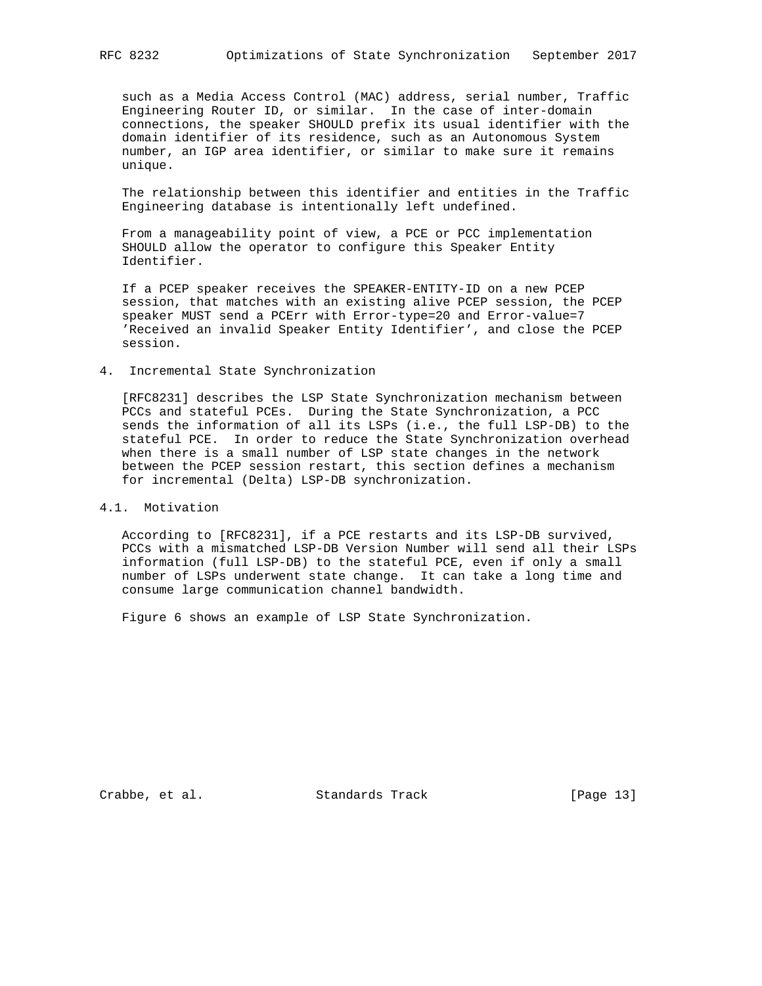such as a Media Access Control (MAC) address, serial number, Traffic Engineering Router ID, or similar. In the case of inter-domain connections, the speaker SHOULD prefix its usual identifier with the domain identifier of its residence, such as an Autonomous System number, an IGP area identifier, or similar to make sure it remains unique.

 The relationship between this identifier and entities in the Traffic Engineering database is intentionally left undefined.

 From a manageability point of view, a PCE or PCC implementation SHOULD allow the operator to configure this Speaker Entity Identifier.

 If a PCEP speaker receives the SPEAKER-ENTITY-ID on a new PCEP session, that matches with an existing alive PCEP session, the PCEP speaker MUST send a PCErr with Error-type=20 and Error-value=7 'Received an invalid Speaker Entity Identifier', and close the PCEP session.

4. Incremental State Synchronization

 [RFC8231] describes the LSP State Synchronization mechanism between PCCs and stateful PCEs. During the State Synchronization, a PCC sends the information of all its LSPs (i.e., the full LSP-DB) to the stateful PCE. In order to reduce the State Synchronization overhead when there is a small number of LSP state changes in the network between the PCEP session restart, this section defines a mechanism for incremental (Delta) LSP-DB synchronization.

## 4.1. Motivation

 According to [RFC8231], if a PCE restarts and its LSP-DB survived, PCCs with a mismatched LSP-DB Version Number will send all their LSPs information (full LSP-DB) to the stateful PCE, even if only a small number of LSPs underwent state change. It can take a long time and consume large communication channel bandwidth.

Figure 6 shows an example of LSP State Synchronization.

Crabbe, et al. Standards Track [Page 13]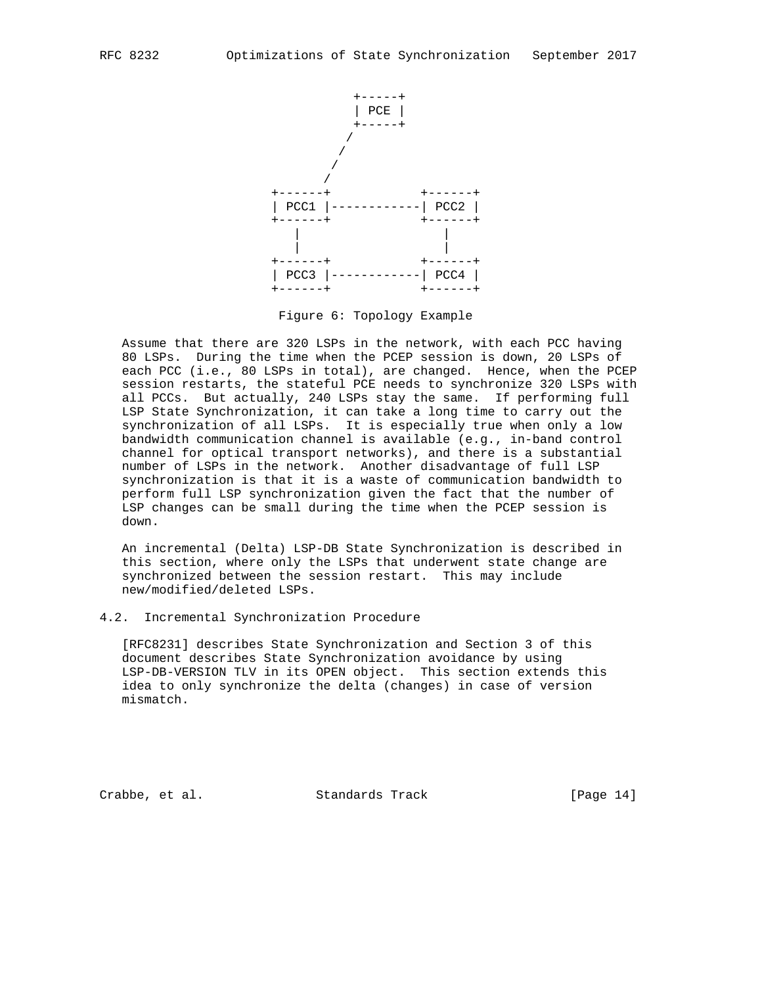

Figure 6: Topology Example

 Assume that there are 320 LSPs in the network, with each PCC having 80 LSPs. During the time when the PCEP session is down, 20 LSPs of each PCC (i.e., 80 LSPs in total), are changed. Hence, when the PCEP session restarts, the stateful PCE needs to synchronize 320 LSPs with all PCCs. But actually, 240 LSPs stay the same. If performing full LSP State Synchronization, it can take a long time to carry out the synchronization of all LSPs. It is especially true when only a low bandwidth communication channel is available (e.g., in-band control channel for optical transport networks), and there is a substantial number of LSPs in the network. Another disadvantage of full LSP synchronization is that it is a waste of communication bandwidth to perform full LSP synchronization given the fact that the number of LSP changes can be small during the time when the PCEP session is down.

 An incremental (Delta) LSP-DB State Synchronization is described in this section, where only the LSPs that underwent state change are synchronized between the session restart. This may include new/modified/deleted LSPs.

4.2. Incremental Synchronization Procedure

 [RFC8231] describes State Synchronization and Section 3 of this document describes State Synchronization avoidance by using LSP-DB-VERSION TLV in its OPEN object. This section extends this idea to only synchronize the delta (changes) in case of version mismatch.

Crabbe, et al. Standards Track [Page 14]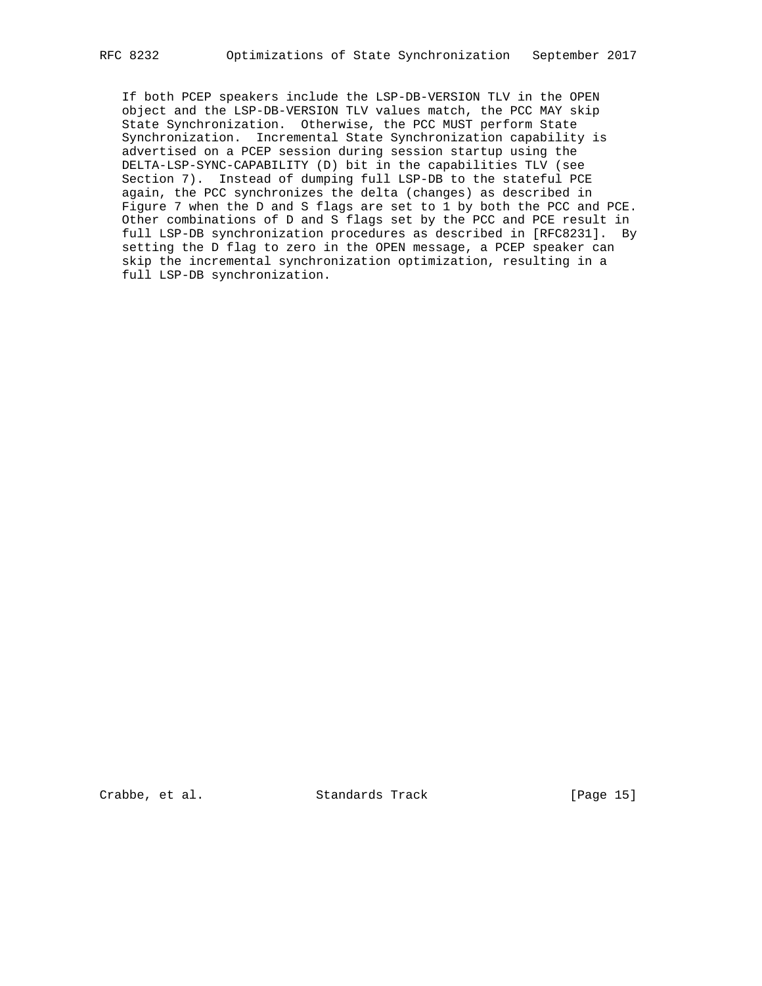If both PCEP speakers include the LSP-DB-VERSION TLV in the OPEN object and the LSP-DB-VERSION TLV values match, the PCC MAY skip State Synchronization. Otherwise, the PCC MUST perform State Synchronization. Incremental State Synchronization capability is advertised on a PCEP session during session startup using the DELTA-LSP-SYNC-CAPABILITY (D) bit in the capabilities TLV (see Section 7). Instead of dumping full LSP-DB to the stateful PCE again, the PCC synchronizes the delta (changes) as described in Figure 7 when the D and S flags are set to 1 by both the PCC and PCE. Other combinations of D and S flags set by the PCC and PCE result in full LSP-DB synchronization procedures as described in [RFC8231]. By setting the D flag to zero in the OPEN message, a PCEP speaker can skip the incremental synchronization optimization, resulting in a full LSP-DB synchronization.

Crabbe, et al. Standards Track [Page 15]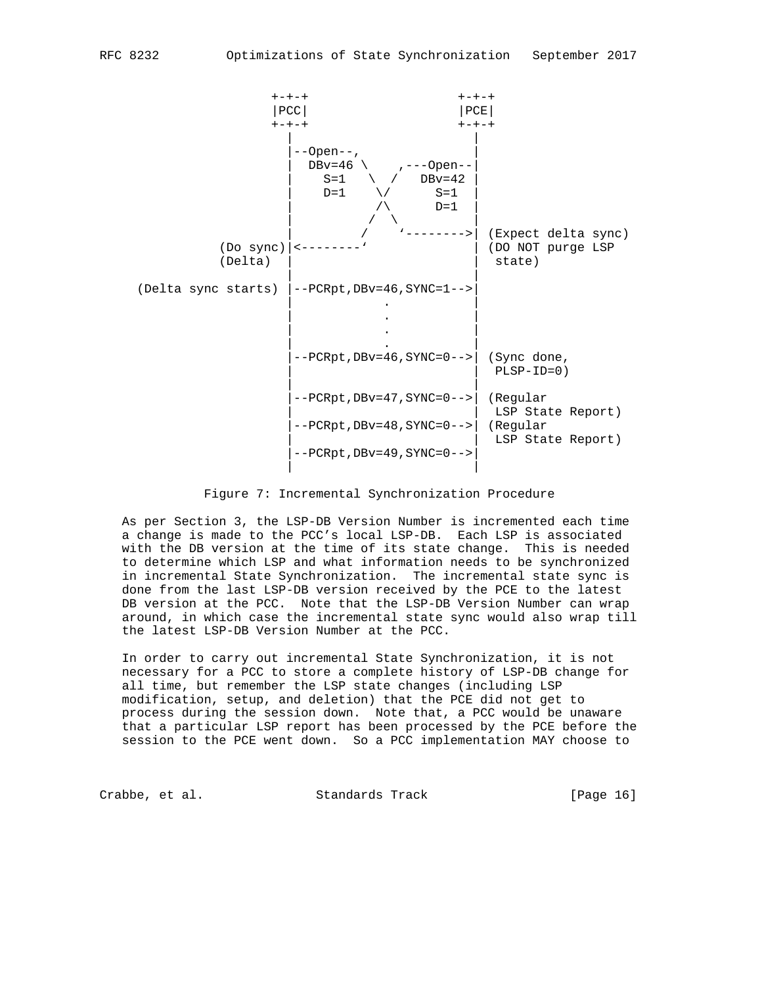

#### Figure 7: Incremental Synchronization Procedure

 As per Section 3, the LSP-DB Version Number is incremented each time a change is made to the PCC's local LSP-DB. Each LSP is associated with the DB version at the time of its state change. This is needed to determine which LSP and what information needs to be synchronized in incremental State Synchronization. The incremental state sync is done from the last LSP-DB version received by the PCE to the latest DB version at the PCC. Note that the LSP-DB Version Number can wrap around, in which case the incremental state sync would also wrap till the latest LSP-DB Version Number at the PCC.

 In order to carry out incremental State Synchronization, it is not necessary for a PCC to store a complete history of LSP-DB change for all time, but remember the LSP state changes (including LSP modification, setup, and deletion) that the PCE did not get to process during the session down. Note that, a PCC would be unaware that a particular LSP report has been processed by the PCE before the session to the PCE went down. So a PCC implementation MAY choose to

Crabbe, et al. Standards Track [Page 16]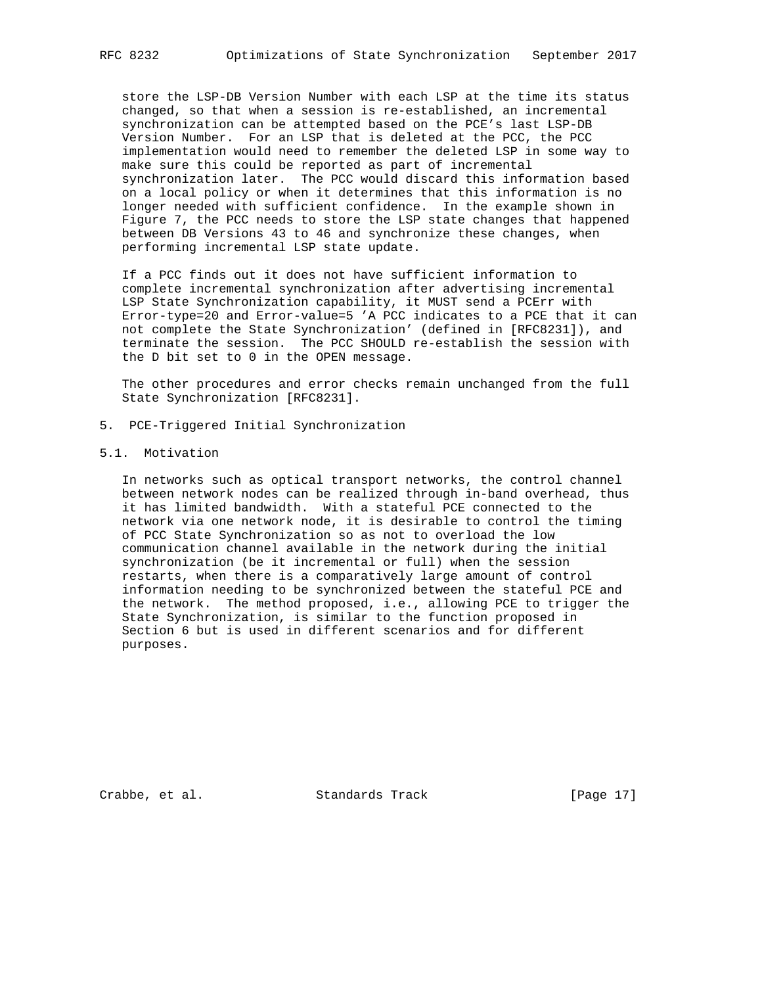store the LSP-DB Version Number with each LSP at the time its status changed, so that when a session is re-established, an incremental synchronization can be attempted based on the PCE's last LSP-DB Version Number. For an LSP that is deleted at the PCC, the PCC implementation would need to remember the deleted LSP in some way to make sure this could be reported as part of incremental synchronization later. The PCC would discard this information based on a local policy or when it determines that this information is no longer needed with sufficient confidence. In the example shown in Figure 7, the PCC needs to store the LSP state changes that happened between DB Versions 43 to 46 and synchronize these changes, when performing incremental LSP state update.

 If a PCC finds out it does not have sufficient information to complete incremental synchronization after advertising incremental LSP State Synchronization capability, it MUST send a PCErr with Error-type=20 and Error-value=5 'A PCC indicates to a PCE that it can not complete the State Synchronization' (defined in [RFC8231]), and terminate the session. The PCC SHOULD re-establish the session with the D bit set to 0 in the OPEN message.

 The other procedures and error checks remain unchanged from the full State Synchronization [RFC8231].

- 5. PCE-Triggered Initial Synchronization
- 5.1. Motivation

 In networks such as optical transport networks, the control channel between network nodes can be realized through in-band overhead, thus it has limited bandwidth. With a stateful PCE connected to the network via one network node, it is desirable to control the timing of PCC State Synchronization so as not to overload the low communication channel available in the network during the initial synchronization (be it incremental or full) when the session restarts, when there is a comparatively large amount of control information needing to be synchronized between the stateful PCE and the network. The method proposed, i.e., allowing PCE to trigger the State Synchronization, is similar to the function proposed in Section 6 but is used in different scenarios and for different purposes.

Crabbe, et al. Standards Track [Page 17]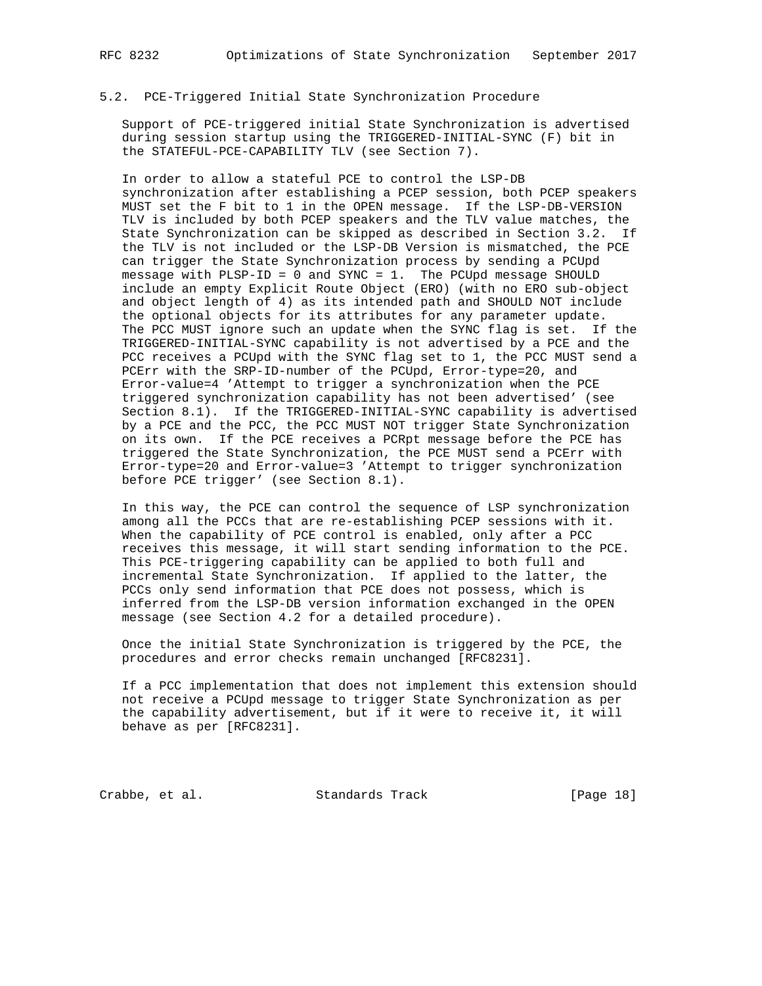### 5.2. PCE-Triggered Initial State Synchronization Procedure

 Support of PCE-triggered initial State Synchronization is advertised during session startup using the TRIGGERED-INITIAL-SYNC (F) bit in the STATEFUL-PCE-CAPABILITY TLV (see Section 7).

 In order to allow a stateful PCE to control the LSP-DB synchronization after establishing a PCEP session, both PCEP speakers MUST set the F bit to 1 in the OPEN message. If the LSP-DB-VERSION TLV is included by both PCEP speakers and the TLV value matches, the State Synchronization can be skipped as described in Section 3.2. If the TLV is not included or the LSP-DB Version is mismatched, the PCE can trigger the State Synchronization process by sending a PCUpd message with PLSP-ID = 0 and SYNC = 1. The PCUpd message SHOULD include an empty Explicit Route Object (ERO) (with no ERO sub-object and object length of 4) as its intended path and SHOULD NOT include the optional objects for its attributes for any parameter update. The PCC MUST ignore such an update when the SYNC flag is set. If the TRIGGERED-INITIAL-SYNC capability is not advertised by a PCE and the PCC receives a PCUpd with the SYNC flag set to 1, the PCC MUST send a PCErr with the SRP-ID-number of the PCUpd, Error-type=20, and Error-value=4 'Attempt to trigger a synchronization when the PCE triggered synchronization capability has not been advertised' (see Section 8.1). If the TRIGGERED-INITIAL-SYNC capability is advertised by a PCE and the PCC, the PCC MUST NOT trigger State Synchronization on its own. If the PCE receives a PCRpt message before the PCE has triggered the State Synchronization, the PCE MUST send a PCErr with Error-type=20 and Error-value=3 'Attempt to trigger synchronization before PCE trigger' (see Section 8.1).

 In this way, the PCE can control the sequence of LSP synchronization among all the PCCs that are re-establishing PCEP sessions with it. When the capability of PCE control is enabled, only after a PCC receives this message, it will start sending information to the PCE. This PCE-triggering capability can be applied to both full and incremental State Synchronization. If applied to the latter, the PCCs only send information that PCE does not possess, which is inferred from the LSP-DB version information exchanged in the OPEN message (see Section 4.2 for a detailed procedure).

 Once the initial State Synchronization is triggered by the PCE, the procedures and error checks remain unchanged [RFC8231].

 If a PCC implementation that does not implement this extension should not receive a PCUpd message to trigger State Synchronization as per the capability advertisement, but if it were to receive it, it will behave as per [RFC8231].

Crabbe, et al. Standards Track [Page 18]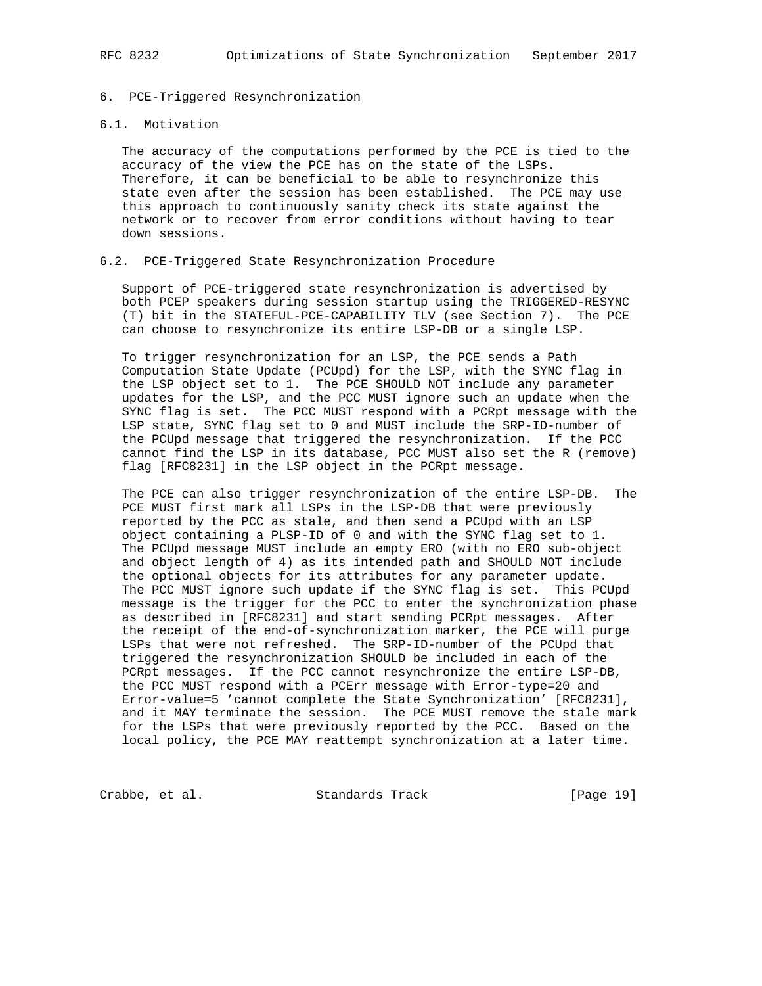## 6. PCE-Triggered Resynchronization

### 6.1. Motivation

 The accuracy of the computations performed by the PCE is tied to the accuracy of the view the PCE has on the state of the LSPs. Therefore, it can be beneficial to be able to resynchronize this state even after the session has been established. The PCE may use this approach to continuously sanity check its state against the network or to recover from error conditions without having to tear down sessions.

## 6.2. PCE-Triggered State Resynchronization Procedure

 Support of PCE-triggered state resynchronization is advertised by both PCEP speakers during session startup using the TRIGGERED-RESYNC (T) bit in the STATEFUL-PCE-CAPABILITY TLV (see Section 7). The PCE can choose to resynchronize its entire LSP-DB or a single LSP.

 To trigger resynchronization for an LSP, the PCE sends a Path Computation State Update (PCUpd) for the LSP, with the SYNC flag in the LSP object set to 1. The PCE SHOULD NOT include any parameter updates for the LSP, and the PCC MUST ignore such an update when the SYNC flag is set. The PCC MUST respond with a PCRpt message with the LSP state, SYNC flag set to 0 and MUST include the SRP-ID-number of the PCUpd message that triggered the resynchronization. If the PCC cannot find the LSP in its database, PCC MUST also set the R (remove) flag [RFC8231] in the LSP object in the PCRpt message.

 The PCE can also trigger resynchronization of the entire LSP-DB. The PCE MUST first mark all LSPs in the LSP-DB that were previously reported by the PCC as stale, and then send a PCUpd with an LSP object containing a PLSP-ID of 0 and with the SYNC flag set to 1. The PCUpd message MUST include an empty ERO (with no ERO sub-object and object length of 4) as its intended path and SHOULD NOT include the optional objects for its attributes for any parameter update. The PCC MUST ignore such update if the SYNC flag is set. This PCUpd message is the trigger for the PCC to enter the synchronization phase as described in [RFC8231] and start sending PCRpt messages. After the receipt of the end-of-synchronization marker, the PCE will purge LSPs that were not refreshed. The SRP-ID-number of the PCUpd that triggered the resynchronization SHOULD be included in each of the PCRpt messages. If the PCC cannot resynchronize the entire LSP-DB, the PCC MUST respond with a PCErr message with Error-type=20 and Error-value=5 'cannot complete the State Synchronization' [RFC8231], and it MAY terminate the session. The PCE MUST remove the stale mark for the LSPs that were previously reported by the PCC. Based on the local policy, the PCE MAY reattempt synchronization at a later time.

Crabbe, et al. Standards Track [Page 19]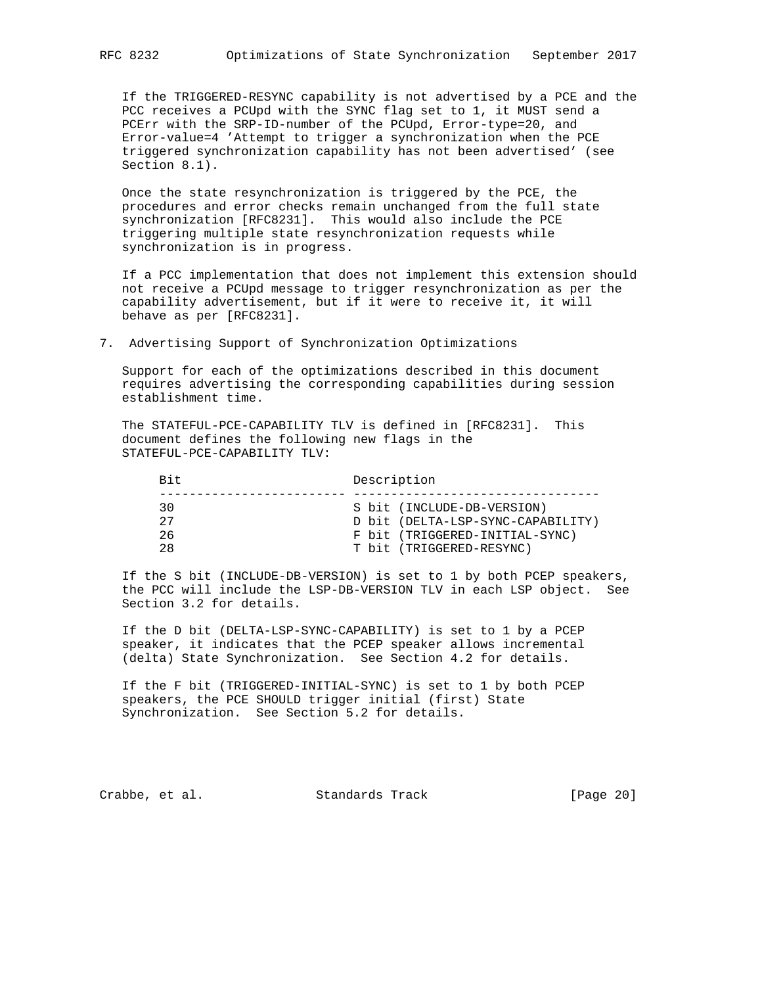If the TRIGGERED-RESYNC capability is not advertised by a PCE and the PCC receives a PCUpd with the SYNC flag set to 1, it MUST send a PCErr with the SRP-ID-number of the PCUpd, Error-type=20, and Error-value=4 'Attempt to trigger a synchronization when the PCE triggered synchronization capability has not been advertised' (see Section 8.1).

 Once the state resynchronization is triggered by the PCE, the procedures and error checks remain unchanged from the full state synchronization [RFC8231]. This would also include the PCE triggering multiple state resynchronization requests while synchronization is in progress.

 If a PCC implementation that does not implement this extension should not receive a PCUpd message to trigger resynchronization as per the capability advertisement, but if it were to receive it, it will behave as per [RFC8231].

7. Advertising Support of Synchronization Optimizations

 Support for each of the optimizations described in this document requires advertising the corresponding capabilities during session establishment time.

 The STATEFUL-PCE-CAPABILITY TLV is defined in [RFC8231]. This document defines the following new flags in the STATEFUL-PCE-CAPABILITY TLV:

| Bit. | Description                       |  |
|------|-----------------------------------|--|
| 30   | S bit (INCLUDE-DB-VERSION)        |  |
| 27   | D bit (DELTA-LSP-SYNC-CAPABILITY) |  |
| 26   | F bit (TRIGGERED-INITIAL-SYNC)    |  |
| 28   | T bit (TRIGGERED-RESYNC)          |  |

 If the S bit (INCLUDE-DB-VERSION) is set to 1 by both PCEP speakers, the PCC will include the LSP-DB-VERSION TLV in each LSP object. See Section 3.2 for details.

 If the D bit (DELTA-LSP-SYNC-CAPABILITY) is set to 1 by a PCEP speaker, it indicates that the PCEP speaker allows incremental (delta) State Synchronization. See Section 4.2 for details.

 If the F bit (TRIGGERED-INITIAL-SYNC) is set to 1 by both PCEP speakers, the PCE SHOULD trigger initial (first) State Synchronization. See Section 5.2 for details.

Crabbe, et al. Standards Track [Page 20]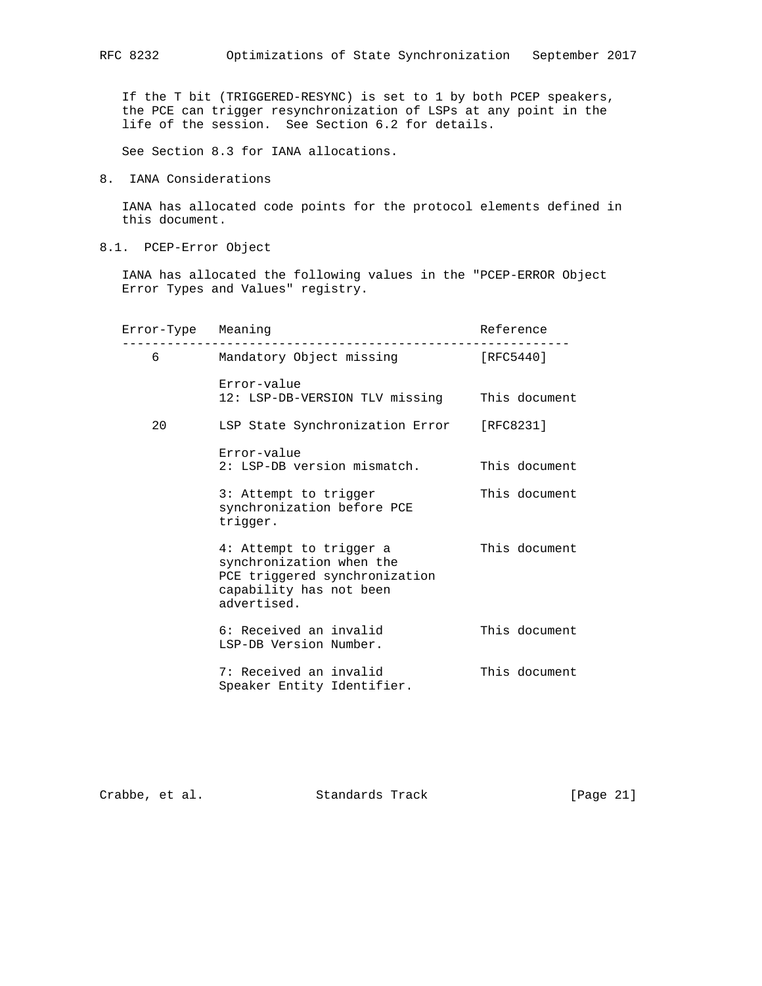If the T bit (TRIGGERED-RESYNC) is set to 1 by both PCEP speakers, the PCE can trigger resynchronization of LSPs at any point in the life of the session. See Section 6.2 for details.

See Section 8.3 for IANA allocations.

8. IANA Considerations

 IANA has allocated code points for the protocol elements defined in this document.

8.1. PCEP-Error Object

 IANA has allocated the following values in the "PCEP-ERROR Object Error Types and Values" registry.

| Error-Type Meaning |                                                                                                                                | Reference     |
|--------------------|--------------------------------------------------------------------------------------------------------------------------------|---------------|
| $6 \overline{}$    | Mandatory Object missing                                                                                                       | [RFC5440]     |
|                    | Error-value<br>12: LSP-DB-VERSION TLV missing                                                                                  | This document |
| 20                 | LSP State Synchronization Error [RFC8231]                                                                                      |               |
|                    | Error-value<br>2: LSP-DB version mismatch.                                                                                     | This document |
|                    | 3: Attempt to trigger<br>synchronization before PCE<br>trigger.                                                                | This document |
|                    | 4: Attempt to trigger a<br>synchronization when the<br>PCE triggered synchronization<br>capability has not been<br>advertised. | This document |
|                    | 6: Received an invalid<br>LSP-DB Version Number.                                                                               | This document |
|                    | 7: Received an invalid<br>Speaker Entity Identifier.                                                                           | This document |

Crabbe, et al. Standards Track [Page 21]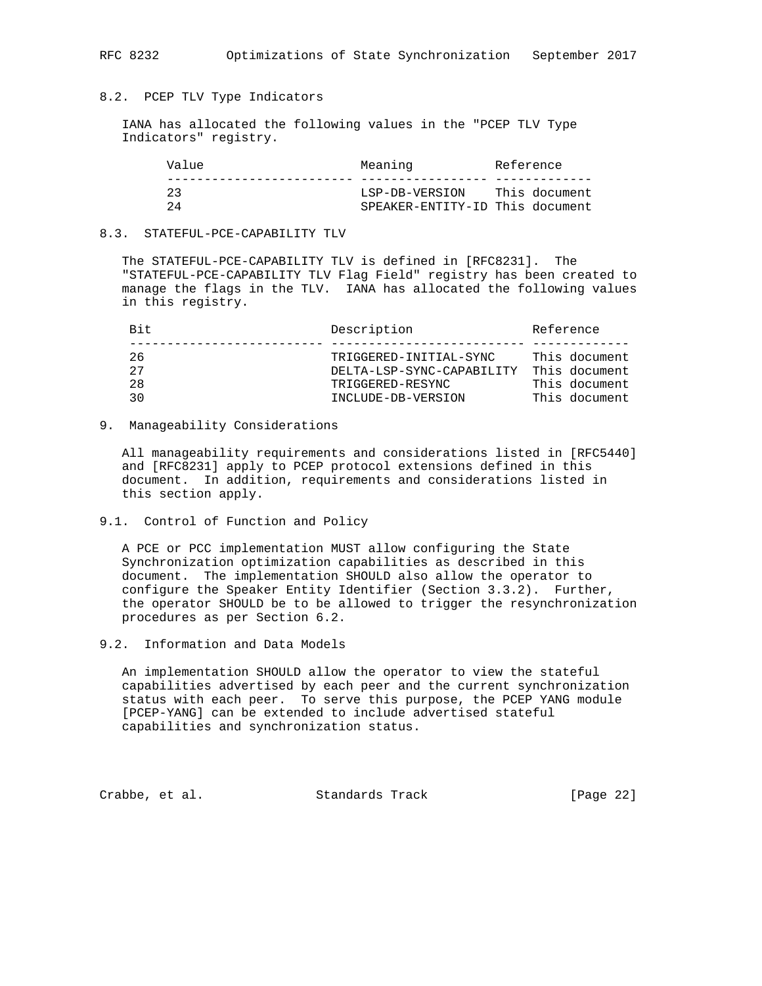## 8.2. PCEP TLV Type Indicators

 IANA has allocated the following values in the "PCEP TLV Type Indicators" registry.

| Value | Meaning                         | Reference     |
|-------|---------------------------------|---------------|
|       |                                 |               |
| っっ    | LSP-DB-VERSION                  | This document |
| 24    | SPEAKER-ENTITY-ID This document |               |

### 8.3. STATEFUL-PCE-CAPABILITY TLV

 The STATEFUL-PCE-CAPABILITY TLV is defined in [RFC8231]. The "STATEFUL-PCE-CAPABILITY TLV Flag Field" registry has been created to manage the flags in the TLV. IANA has allocated the following values in this registry.

| Rit. | Description               | Reference     |
|------|---------------------------|---------------|
|      |                           |               |
| 26   | TRIGGERED-INITIAL-SYNC    | This document |
| 27   | DELTA-LSP-SYNC-CAPABILITY | This document |
| 2.8  | TRIGGERED-RESYNC          | This document |
| 30   | INCLUDE-DB-VERSION        | This document |
|      |                           |               |

### 9. Manageability Considerations

 All manageability requirements and considerations listed in [RFC5440] and [RFC8231] apply to PCEP protocol extensions defined in this document. In addition, requirements and considerations listed in this section apply.

9.1. Control of Function and Policy

 A PCE or PCC implementation MUST allow configuring the State Synchronization optimization capabilities as described in this document. The implementation SHOULD also allow the operator to configure the Speaker Entity Identifier (Section 3.3.2). Further, the operator SHOULD be to be allowed to trigger the resynchronization procedures as per Section 6.2.

9.2. Information and Data Models

 An implementation SHOULD allow the operator to view the stateful capabilities advertised by each peer and the current synchronization status with each peer. To serve this purpose, the PCEP YANG module [PCEP-YANG] can be extended to include advertised stateful capabilities and synchronization status.

Crabbe, et al. Standards Track [Page 22]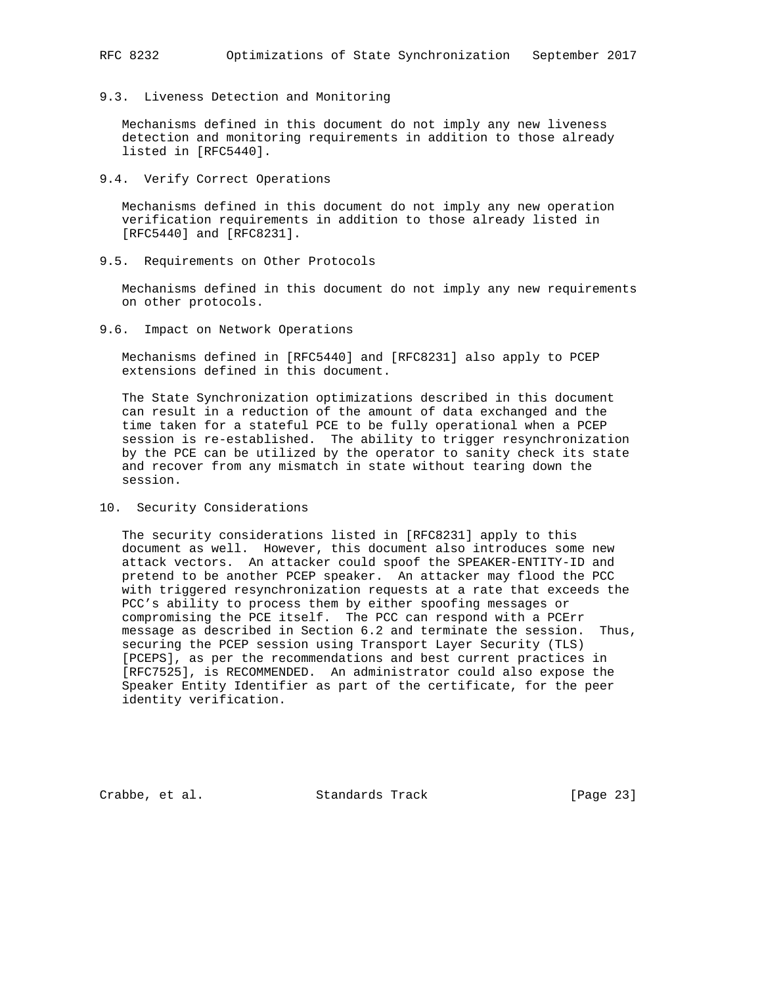# 9.3. Liveness Detection and Monitoring

 Mechanisms defined in this document do not imply any new liveness detection and monitoring requirements in addition to those already listed in [RFC5440].

9.4. Verify Correct Operations

 Mechanisms defined in this document do not imply any new operation verification requirements in addition to those already listed in [RFC5440] and [RFC8231].

9.5. Requirements on Other Protocols

 Mechanisms defined in this document do not imply any new requirements on other protocols.

9.6. Impact on Network Operations

 Mechanisms defined in [RFC5440] and [RFC8231] also apply to PCEP extensions defined in this document.

 The State Synchronization optimizations described in this document can result in a reduction of the amount of data exchanged and the time taken for a stateful PCE to be fully operational when a PCEP session is re-established. The ability to trigger resynchronization by the PCE can be utilized by the operator to sanity check its state and recover from any mismatch in state without tearing down the session.

10. Security Considerations

 The security considerations listed in [RFC8231] apply to this document as well. However, this document also introduces some new attack vectors. An attacker could spoof the SPEAKER-ENTITY-ID and pretend to be another PCEP speaker. An attacker may flood the PCC with triggered resynchronization requests at a rate that exceeds the PCC's ability to process them by either spoofing messages or compromising the PCE itself. The PCC can respond with a PCErr message as described in Section 6.2 and terminate the session. Thus, securing the PCEP session using Transport Layer Security (TLS) [PCEPS], as per the recommendations and best current practices in [RFC7525], is RECOMMENDED. An administrator could also expose the Speaker Entity Identifier as part of the certificate, for the peer identity verification.

Crabbe, et al. Standards Track [Page 23]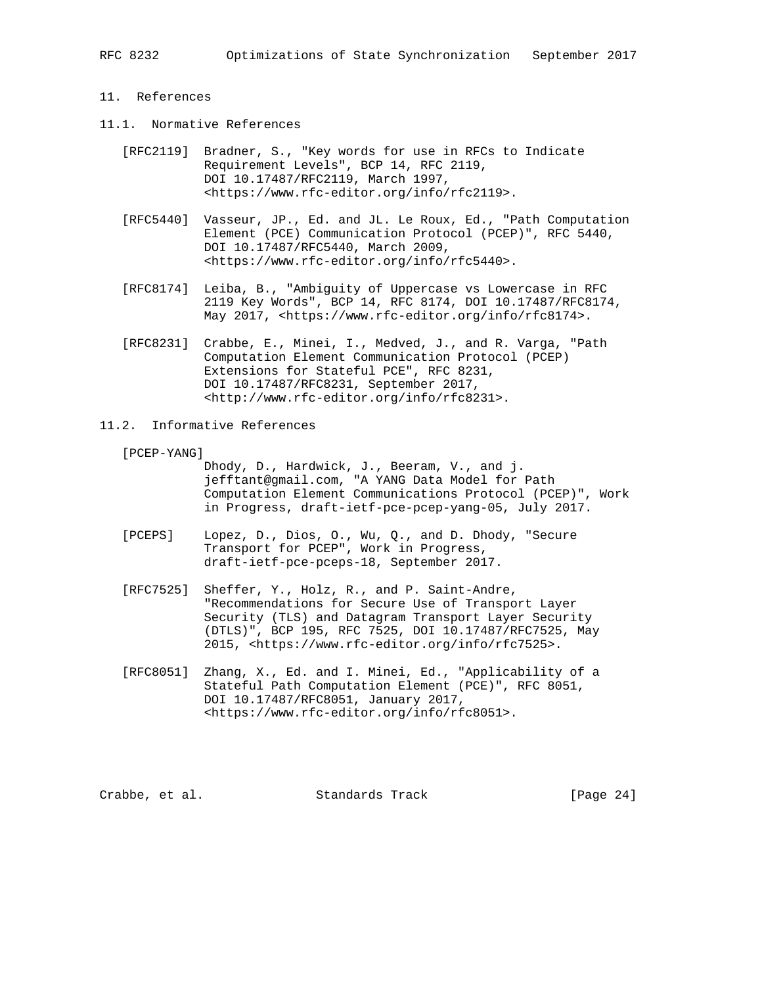## 11. References

- 11.1. Normative References
	- [RFC2119] Bradner, S., "Key words for use in RFCs to Indicate Requirement Levels", BCP 14, RFC 2119, DOI 10.17487/RFC2119, March 1997, <https://www.rfc-editor.org/info/rfc2119>.
	- [RFC5440] Vasseur, JP., Ed. and JL. Le Roux, Ed., "Path Computation Element (PCE) Communication Protocol (PCEP)", RFC 5440, DOI 10.17487/RFC5440, March 2009, <https://www.rfc-editor.org/info/rfc5440>.
	- [RFC8174] Leiba, B., "Ambiguity of Uppercase vs Lowercase in RFC 2119 Key Words", BCP 14, RFC 8174, DOI 10.17487/RFC8174, May 2017, <https://www.rfc-editor.org/info/rfc8174>.
	- [RFC8231] Crabbe, E., Minei, I., Medved, J., and R. Varga, "Path Computation Element Communication Protocol (PCEP) Extensions for Stateful PCE", RFC 8231, DOI 10.17487/RFC8231, September 2017, <http://www.rfc-editor.org/info/rfc8231>.
- 11.2. Informative References
	- [PCEP-YANG]

 Dhody, D., Hardwick, J., Beeram, V., and j. jefftant@gmail.com, "A YANG Data Model for Path Computation Element Communications Protocol (PCEP)", Work in Progress, draft-ietf-pce-pcep-yang-05, July 2017.

- [PCEPS] Lopez, D., Dios, O., Wu, Q., and D. Dhody, "Secure Transport for PCEP", Work in Progress, draft-ietf-pce-pceps-18, September 2017.
- [RFC7525] Sheffer, Y., Holz, R., and P. Saint-Andre, "Recommendations for Secure Use of Transport Layer Security (TLS) and Datagram Transport Layer Security (DTLS)", BCP 195, RFC 7525, DOI 10.17487/RFC7525, May 2015, <https://www.rfc-editor.org/info/rfc7525>.
- [RFC8051] Zhang, X., Ed. and I. Minei, Ed., "Applicability of a Stateful Path Computation Element (PCE)", RFC 8051, DOI 10.17487/RFC8051, January 2017, <https://www.rfc-editor.org/info/rfc8051>.

Crabbe, et al. Standards Track [Page 24]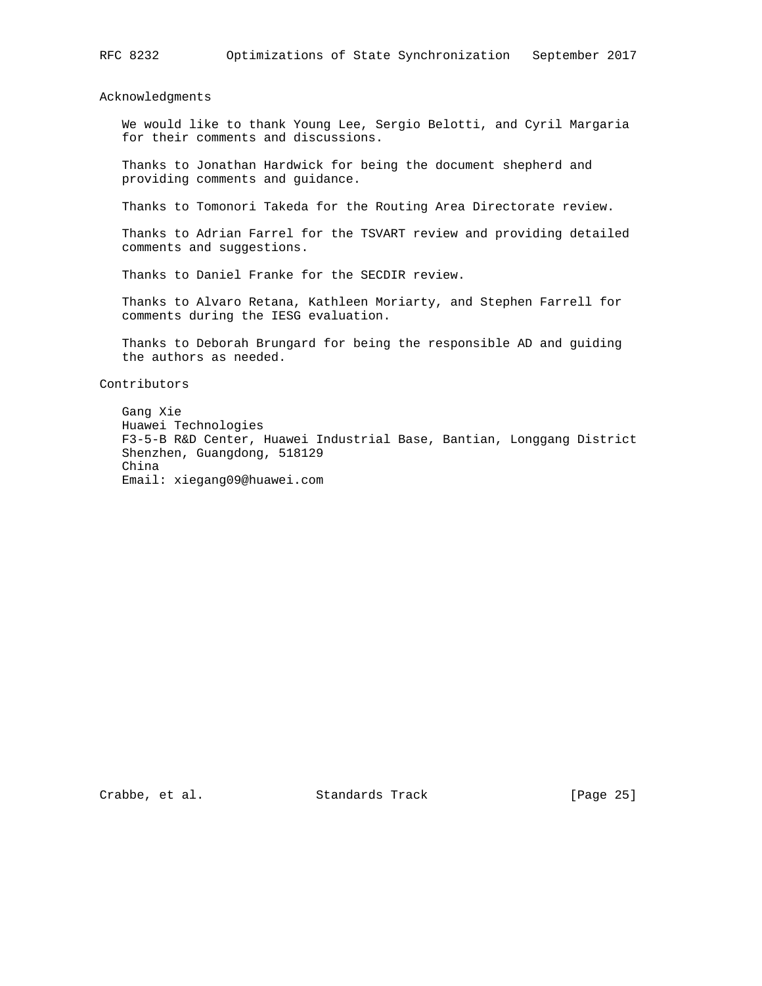Acknowledgments

 We would like to thank Young Lee, Sergio Belotti, and Cyril Margaria for their comments and discussions.

 Thanks to Jonathan Hardwick for being the document shepherd and providing comments and guidance.

Thanks to Tomonori Takeda for the Routing Area Directorate review.

 Thanks to Adrian Farrel for the TSVART review and providing detailed comments and suggestions.

Thanks to Daniel Franke for the SECDIR review.

 Thanks to Alvaro Retana, Kathleen Moriarty, and Stephen Farrell for comments during the IESG evaluation.

 Thanks to Deborah Brungard for being the responsible AD and guiding the authors as needed.

Contributors

 Gang Xie Huawei Technologies F3-5-B R&D Center, Huawei Industrial Base, Bantian, Longgang District Shenzhen, Guangdong, 518129 China Email: xiegang09@huawei.com

Crabbe, et al. Standards Track [Page 25]